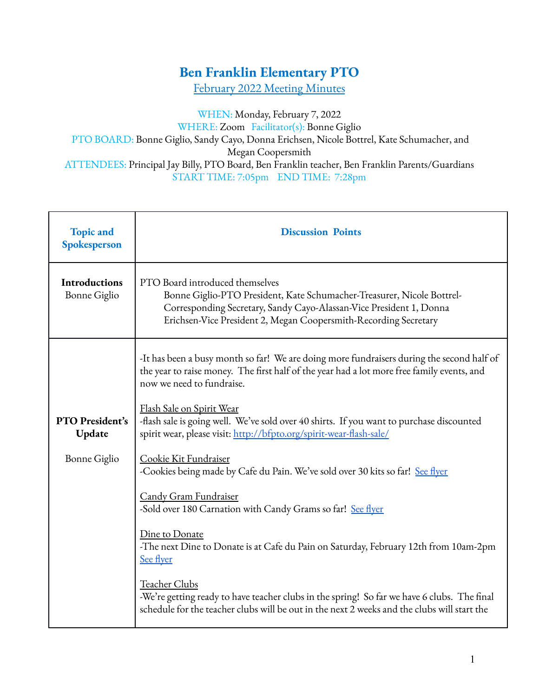## **Ben Franklin Elementary PTO**

February 2022 Meeting Minutes

WHEN: Monday, February 7, 2022 WHERE: Zoom Facilitator(s): Bonne Giglio PTO BOARD: Bonne Giglio, Sandy Cayo, Donna Erichsen, Nicole Bottrel, Kate Schumacher, and Megan Coopersmith ATTENDEES: Principal Jay Billy, PTO Board, Ben Franklin teacher, Ben Franklin Parents/Guardians START TIME: 7:05pm END TIME: 7:28pm

| <b>Topic and</b><br>Spokesperson            | <b>Discussion Points</b>                                                                                                                                                                                                                             |  |  |  |  |  |
|---------------------------------------------|------------------------------------------------------------------------------------------------------------------------------------------------------------------------------------------------------------------------------------------------------|--|--|--|--|--|
| <b>Introductions</b><br><b>Bonne Giglio</b> | PTO Board introduced themselves<br>Bonne Giglio-PTO President, Kate Schumacher-Treasurer, Nicole Bottrel-<br>Corresponding Secretary, Sandy Cayo-Alassan-Vice President 1, Donna<br>Erichsen-Vice President 2, Megan Coopersmith-Recording Secretary |  |  |  |  |  |
|                                             | -It has been a busy month so far! We are doing more fundraisers during the second half of<br>the year to raise money. The first half of the year had a lot more free family events, and<br>now we need to fundraise.                                 |  |  |  |  |  |
| PTO President's<br>Update                   | <u>Flash Sale on Spirit Wear</u><br>-flash sale is going well. We've sold over 40 shirts. If you want to purchase discounted<br>spirit wear, please visit: http://bfpto.org/spirit-wear-flash-sale/                                                  |  |  |  |  |  |
| <b>Bonne Giglio</b>                         | Cookie Kit Fundraiser<br>-Cookies being made by Cafe du Pain. We've sold over 30 kits so far! See flyer                                                                                                                                              |  |  |  |  |  |
|                                             | <b>Candy Gram Fundraiser</b><br>-Sold over 180 Carnation with Candy Grams so far! See flyer                                                                                                                                                          |  |  |  |  |  |
|                                             | Dine to Donate<br>-The next Dine to Donate is at Cafe du Pain on Saturday, February 12th from 10am-2pm<br>See flyer                                                                                                                                  |  |  |  |  |  |
|                                             | Teacher Clubs<br>-We're getting ready to have teacher clubs in the spring! So far we have 6 clubs. The final<br>schedule for the teacher clubs will be out in the next 2 weeks and the clubs will start the                                          |  |  |  |  |  |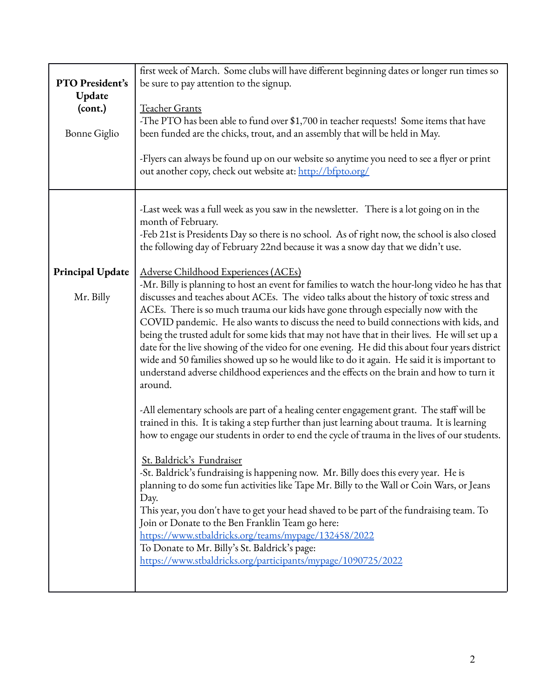|                                          | first week of March. Some clubs will have different beginning dates or longer run times so                                                                                                                                                                                                                                                                                                                                                                                                                                                                                                                                                                                                                                                                                                                                                                                                                                                                                                                                                                                                                                                                                                                                                                                                                                                                                                                                                                                                                                                                                                                                                                                                                                                                                                                                                                                                                                                                               |  |  |  |  |
|------------------------------------------|--------------------------------------------------------------------------------------------------------------------------------------------------------------------------------------------------------------------------------------------------------------------------------------------------------------------------------------------------------------------------------------------------------------------------------------------------------------------------------------------------------------------------------------------------------------------------------------------------------------------------------------------------------------------------------------------------------------------------------------------------------------------------------------------------------------------------------------------------------------------------------------------------------------------------------------------------------------------------------------------------------------------------------------------------------------------------------------------------------------------------------------------------------------------------------------------------------------------------------------------------------------------------------------------------------------------------------------------------------------------------------------------------------------------------------------------------------------------------------------------------------------------------------------------------------------------------------------------------------------------------------------------------------------------------------------------------------------------------------------------------------------------------------------------------------------------------------------------------------------------------------------------------------------------------------------------------------------------------|--|--|--|--|
| PTO President's                          | be sure to pay attention to the signup.                                                                                                                                                                                                                                                                                                                                                                                                                                                                                                                                                                                                                                                                                                                                                                                                                                                                                                                                                                                                                                                                                                                                                                                                                                                                                                                                                                                                                                                                                                                                                                                                                                                                                                                                                                                                                                                                                                                                  |  |  |  |  |
| Update<br>(cont.)<br><b>Bonne Giglio</b> | Teacher Grants<br>-The PTO has been able to fund over \$1,700 in teacher requests! Some items that have<br>been funded are the chicks, trout, and an assembly that will be held in May.                                                                                                                                                                                                                                                                                                                                                                                                                                                                                                                                                                                                                                                                                                                                                                                                                                                                                                                                                                                                                                                                                                                                                                                                                                                                                                                                                                                                                                                                                                                                                                                                                                                                                                                                                                                  |  |  |  |  |
|                                          | -Flyers can always be found up on our website so anytime you need to see a flyer or print<br>out another copy, check out website at: http://bfpto.org/                                                                                                                                                                                                                                                                                                                                                                                                                                                                                                                                                                                                                                                                                                                                                                                                                                                                                                                                                                                                                                                                                                                                                                                                                                                                                                                                                                                                                                                                                                                                                                                                                                                                                                                                                                                                                   |  |  |  |  |
| Principal Update<br>Mr. Billy            | -Last week was a full week as you saw in the newsletter. There is a lot going on in the<br>month of February.<br>-Feb 21st is Presidents Day so there is no school. As of right now, the school is also closed<br>the following day of February 22nd because it was a snow day that we didn't use.<br>Adverse Childhood Experiences (ACEs)<br>-Mr. Billy is planning to host an event for families to watch the hour-long video he has that<br>discusses and teaches about ACEs. The video talks about the history of toxic stress and<br>ACEs. There is so much trauma our kids have gone through especially now with the<br>COVID pandemic. He also wants to discuss the need to build connections with kids, and<br>being the trusted adult for some kids that may not have that in their lives. He will set up a<br>date for the live showing of the video for one evening. He did this about four years district<br>wide and 50 families showed up so he would like to do it again. He said it is important to<br>understand adverse childhood experiences and the effects on the brain and how to turn it<br>around.<br>-All elementary schools are part of a healing center engagement grant. The staff will be<br>trained in this. It is taking a step further than just learning about trauma. It is learning<br>how to engage our students in order to end the cycle of trauma in the lives of our students.<br>St. Baldrick's Fundraiser<br>-St. Baldrick's fundraising is happening now. Mr. Billy does this every year. He is<br>planning to do some fun activities like Tape Mr. Billy to the Wall or Coin Wars, or Jeans<br>Day.<br>This year, you don't have to get your head shaved to be part of the fundraising team. To<br>Join or Donate to the Ben Franklin Team go here:<br>https://www.stbaldricks.org/teams/mypage/132458/2022<br>To Donate to Mr. Billy's St. Baldrick's page:<br>https://www.stbaldricks.org/participants/mypage/1090725/2022 |  |  |  |  |
|                                          |                                                                                                                                                                                                                                                                                                                                                                                                                                                                                                                                                                                                                                                                                                                                                                                                                                                                                                                                                                                                                                                                                                                                                                                                                                                                                                                                                                                                                                                                                                                                                                                                                                                                                                                                                                                                                                                                                                                                                                          |  |  |  |  |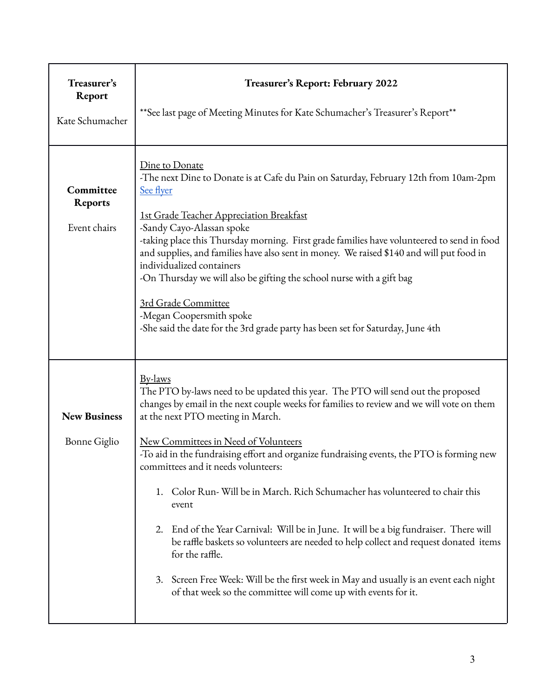| Treasurer's<br>Report<br>Kate Schumacher    | Treasurer's Report: February 2022<br>**See last page of Meeting Minutes for Kate Schumacher's Treasurer's Report**                                                                                                                                                                                                                                                                                                                                                                                                                                                                                                                                                                                                                                                                                                                                                |  |  |  |  |  |
|---------------------------------------------|-------------------------------------------------------------------------------------------------------------------------------------------------------------------------------------------------------------------------------------------------------------------------------------------------------------------------------------------------------------------------------------------------------------------------------------------------------------------------------------------------------------------------------------------------------------------------------------------------------------------------------------------------------------------------------------------------------------------------------------------------------------------------------------------------------------------------------------------------------------------|--|--|--|--|--|
| Committee<br><b>Reports</b><br>Event chairs | Dine to Donate<br>-The next Dine to Donate is at Cafe du Pain on Saturday, February 12th from 10am-2pm<br>See flyer<br><b>1st Grade Teacher Appreciation Breakfast</b><br>-Sandy Cayo-Alassan spoke<br>-taking place this Thursday morning. First grade families have volunteered to send in food<br>and supplies, and families have also sent in money. We raised \$140 and will put food in<br>individualized containers<br>-On Thursday we will also be gifting the school nurse with a gift bag<br>3rd Grade Committee<br>-Megan Coopersmith spoke<br>-She said the date for the 3rd grade party has been set for Saturday, June 4th                                                                                                                                                                                                                          |  |  |  |  |  |
| <b>New Business</b><br>Bonne Giglio         | By-laws<br>The PTO by-laws need to be updated this year. The PTO will send out the proposed<br>changes by email in the next couple weeks for families to review and we will vote on them<br>at the next PTO meeting in March.<br>New Committees in Need of Volunteers<br>-To aid in the fundraising effort and organize fundraising events, the PTO is forming new<br>committees and it needs volunteers:<br>1. Color Run-Will be in March. Rich Schumacher has volunteered to chair this<br>event<br>2. End of the Year Carnival: Will be in June. It will be a big fundraiser. There will<br>be raffle baskets so volunteers are needed to help collect and request donated items<br>for the raffle.<br>3. Screen Free Week: Will be the first week in May and usually is an event each night<br>of that week so the committee will come up with events for it. |  |  |  |  |  |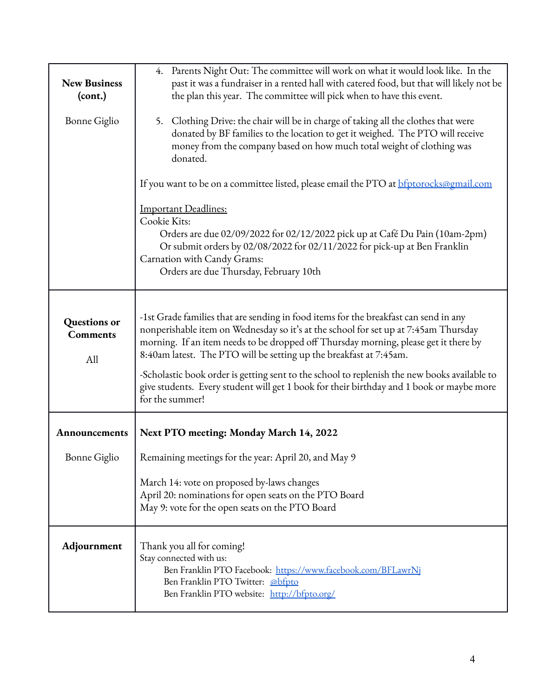| <b>New Business</b><br>(cont.)         | 4. Parents Night Out: The committee will work on what it would look like. In the<br>past it was a fundraiser in a rented hall with catered food, but that will likely not be<br>the plan this year. The committee will pick when to have this event.                                                                                                                                                                                                                                                                                                     |  |  |  |  |  |  |
|----------------------------------------|----------------------------------------------------------------------------------------------------------------------------------------------------------------------------------------------------------------------------------------------------------------------------------------------------------------------------------------------------------------------------------------------------------------------------------------------------------------------------------------------------------------------------------------------------------|--|--|--|--|--|--|
| Bonne Giglio                           | 5. Clothing Drive: the chair will be in charge of taking all the clothes that were<br>donated by BF families to the location to get it weighed. The PTO will receive<br>money from the company based on how much total weight of clothing was<br>donated.                                                                                                                                                                                                                                                                                                |  |  |  |  |  |  |
|                                        | If you want to be on a committee listed, please email the PTO at <b>bfptorocks@gmail.com</b>                                                                                                                                                                                                                                                                                                                                                                                                                                                             |  |  |  |  |  |  |
|                                        | <b>Important Deadlines:</b><br>Cookie Kits:<br>Orders are due 02/09/2022 for 02/12/2022 pick up at Café Du Pain (10am-2pm)<br>Or submit orders by 02/08/2022 for 02/11/2022 for pick-up at Ben Franklin<br>Carnation with Candy Grams:<br>Orders are due Thursday, February 10th                                                                                                                                                                                                                                                                         |  |  |  |  |  |  |
| Questions or<br><b>Comments</b><br>All | -1st Grade families that are sending in food items for the breakfast can send in any<br>nonperishable item on Wednesday so it's at the school for set up at 7:45am Thursday<br>morning. If an item needs to be dropped off Thursday morning, please get it there by<br>8:40am latest. The PTO will be setting up the breakfast at 7:45am.<br>-Scholastic book order is getting sent to the school to replenish the new books available to<br>give students. Every student will get 1 book for their birthday and 1 book or maybe more<br>for the summer! |  |  |  |  |  |  |
| Announcements                          | Next PTO meeting: Monday March 14, 2022                                                                                                                                                                                                                                                                                                                                                                                                                                                                                                                  |  |  |  |  |  |  |
| Bonne Giglio                           | Remaining meetings for the year: April 20, and May 9                                                                                                                                                                                                                                                                                                                                                                                                                                                                                                     |  |  |  |  |  |  |
|                                        | March 14: vote on proposed by-laws changes<br>April 20: nominations for open seats on the PTO Board<br>May 9: vote for the open seats on the PTO Board                                                                                                                                                                                                                                                                                                                                                                                                   |  |  |  |  |  |  |
| Adjournment                            | Thank you all for coming!<br>Stay connected with us:<br>Ben Franklin PTO Facebook: https://www.facebook.com/BFLawrNj<br>Ben Franklin PTO Twitter: @bfpto<br>Ben Franklin PTO website: http://bfpto.org/                                                                                                                                                                                                                                                                                                                                                  |  |  |  |  |  |  |